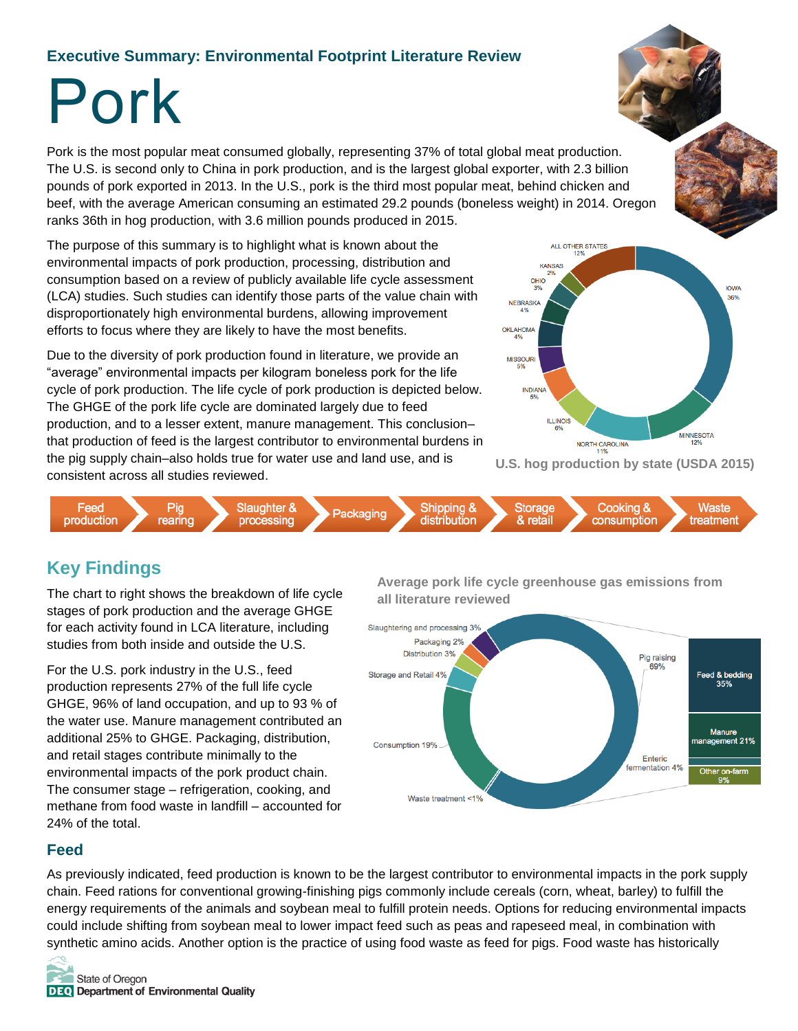### **Executive Summary: Environmental Footprint Literature Review**

# Pork

Pork is the most popular meat consumed globally, representing 37% of total global meat production. The U.S. is second only to China in pork production, and is the largest global exporter, with 2.3 billion pounds of pork exported in 2013. In the U.S., pork is the third most popular meat, behind chicken and beef, with the average American consuming an estimated 29.2 pounds (boneless weight) in 2014. Oregon ranks 36th in hog production, with 3.6 million pounds produced in 2015.

The purpose of this summary is to highlight what is known about the environmental impacts of pork production, processing, distribution and consumption based on a review of publicly available life cycle assessment (LCA) studies. Such studies can identify those parts of the value chain with disproportionately high environmental burdens, allowing improvement efforts to focus where they are likely to have the most benefits.

Due to the diversity of pork production found in literature, we provide an "average" environmental impacts per kilogram boneless pork for the life cycle of pork production. The life cycle of pork production is depicted below. The GHGE of the pork life cycle are dominated largely due to feed production, and to a lesser extent, manure management. This conclusion– that production of feed is the largest contributor to environmental burdens in the pig supply chain–also holds true for water use and land use, and is consistent across all studies reviewed.



**U.S. hog production by state (USDA 2015)**



## **Key Findings**

The chart to right shows the breakdown of life cycle stages of pork production and the average GHGE for each activity found in LCA literature, including studies from both inside and outside the U.S.

For the U.S. pork industry in the U.S., feed production represents 27% of the full life cycle GHGE, 96% of land occupation, and up to 93 % of the water use. Manure management contributed an additional 25% to GHGE. Packaging, distribution, and retail stages contribute minimally to the environmental impacts of the pork product chain. The consumer stage – refrigeration, cooking, and methane from food waste in landfill – accounted for 24% of the total.

**Average pork life cycle greenhouse gas emissions from all literature reviewed**



#### **Feed**

As previously indicated, feed production is known to be the largest contributor to environmental impacts in the pork supply chain. Feed rations for conventional growing-finishing pigs commonly include cereals (corn, wheat, barley) to fulfill the energy requirements of the animals and soybean meal to fulfill protein needs. Options for reducing environmental impacts could include shifting from soybean meal to lower impact feed such as peas and rapeseed meal, in combination with synthetic amino acids. Another option is the practice of using food waste as feed for pigs. Food waste has historically